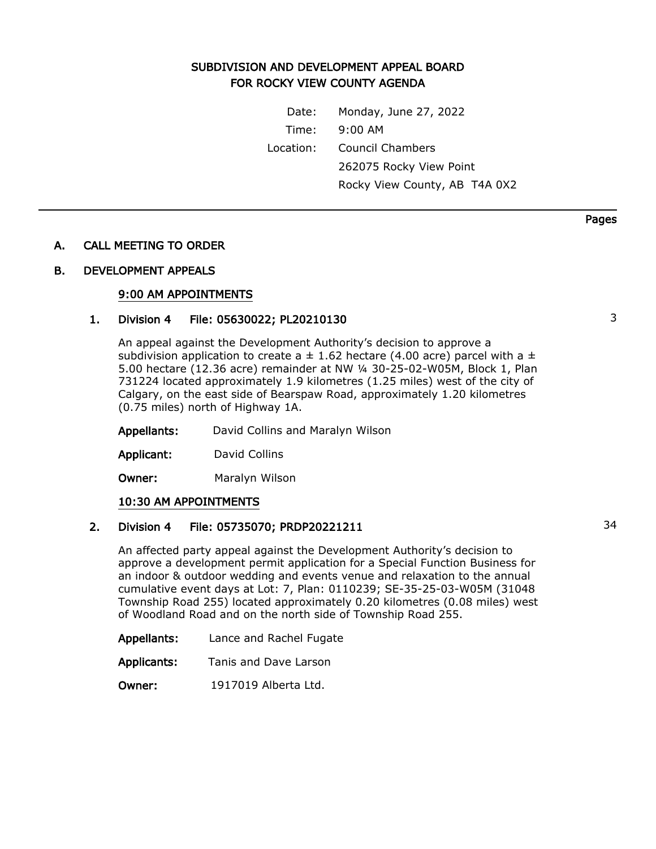# SUBDIVISION AND DEVELOPMENT APPEAL BOARD FOR ROCKY VIEW COUNTY AGENDA

Date: Monday, June 27, 2022 Time: 9:00 AM Location: Council Chambers 262075 Rocky View Point Rocky View County, AB T4A 0X2

### A. CALL MEETING TO ORDER

#### B. DEVELOPMENT APPEALS

#### 9:00 AM APPOINTMENTS

## 1. Division 4 File: 05630022; PL20210130 3

An appeal against the Development Authority's decision to approve a subdivision application to create a  $\pm$  1.62 hectare (4.00 acre) parcel with a  $\pm$ 5.00 hectare (12.36 acre) remainder at NW ¼ 30-25-02-W05M, Block 1, Plan 731224 located approximately 1.9 kilometres (1.25 miles) west of the city of Calgary, on the east side of Bearspaw Road, approximately 1.20 kilometres (0.75 miles) north of Highway 1A.

Appellants: David Collins and Maralyn Wilson

Applicant: David Collins

Owner: Maralyn Wilson

#### 10:30 AM APPOINTMENTS

## 2. Division 4 File: 05735070; PRDP20221211 34

An affected party appeal against the Development Authority's decision to approve a development permit application for a Special Function Business for an indoor & outdoor wedding and events venue and relaxation to the annual cumulative event days at Lot: 7, Plan: 0110239; SE-35-25-03-W05M (31048 Township Road 255) located approximately 0.20 kilometres (0.08 miles) west of Woodland Road and on the north side of Township Road 255.

| Appellants: | Lance and Rachel Fugate |
|-------------|-------------------------|
|-------------|-------------------------|

Applicants: Tanis and Dave Larson

Owner: 1917019 Alberta Ltd.

Pages